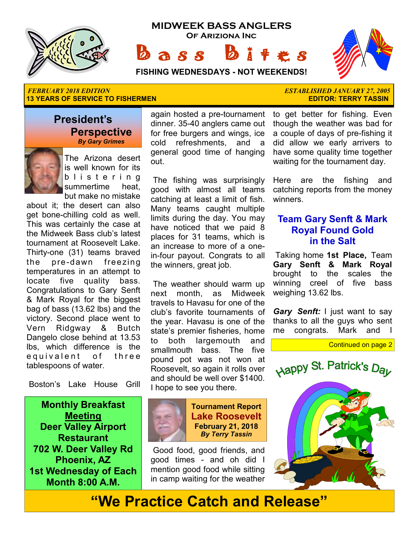





**FISHING WEDNESDAYS - NOT WEEKENDS!**

 $a s s$ 

#### *FEBRUARY 2018 EDITION ESTABLISHED JANUARY 27, 2005*  **13 YEARS OF SERVICE TO FISHERMEN EXECUTE THE SERVICE OF SERVICE TO PISHERM** EDITOR: TERRY TASSIN

### **President's Perspective**   *By Gary Grimes*



The Arizona desert is well known for its b l i s t e r i n g summertime heat, but make no mistake

about it; the desert can also get bone-chilling cold as well. This was certainly the case at the Midweek Bass club's latest tournament at Roosevelt Lake. Thirty-one (31) teams braved the pre-dawn freezing temperatures in an attempt to locate five quality bass. Congratulations to Gary Senft & Mark Royal for the biggest bag of bass (13.62 lbs) and the victory. Second place went to Vern Ridgway & Butch Dangelo close behind at 13.53 lbs, which difference is the e quivalent of three tablespoons of water.

Boston's Lake House Grill

**Monthly Breakfast Meeting Deer Valley Airport Restaurant 702 W. Deer Valley Rd Phoenix, AZ 1st Wednesday of Each Month 8:00 A.M.** 

again hosted a pre-tournament dinner. 35-40 anglers came out for free burgers and wings, ice cold refreshments, and a general good time of hanging out.

 The fishing was surprisingly good with almost all teams catching at least a limit of fish. Many teams caught multiple limits during the day. You may have noticed that we paid 8 places for 31 teams, which is an increase to more of a onein-four payout. Congrats to all the winners, great job.

 The weather should warm up next month, as Midweek travels to Havasu for one of the club's favorite tournaments of the year. Havasu is one of the state's premier fisheries, home to both largemouth and smallmouth bass. The five pound pot was not won at Roosevelt, so again it rolls over and should be well over \$1400. I hope to see you there.



 Good food, good friends, and good times - and oh did I mention good food while sitting in camp waiting for the weather

to get better for fishing. Even though the weather was bad for a couple of days of pre-fishing it did allow we early arrivers to have some quality time together waiting for the tournament day.

Here are the fishing and catching reports from the money winners.

### **Team Gary Senft & Mark Royal Found Gold in the Salt**

 Taking home **1st Place,** Team **Gary Senft & Mark Royal**  brought to the scales the winning creel of five bass weighing 13.62 lbs.

*Gary Senft:* I just want to say thanks to all the guys who sent me congrats. Mark and

Continued on page 2





# **"We Practice Catch and Release"**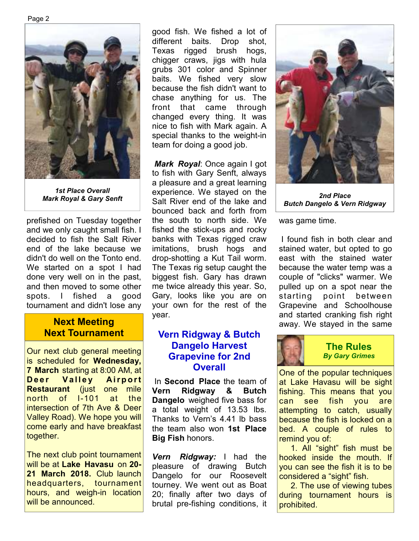Page 2



*1st Place Overall* 

prefished on Tuesday together and we only caught small fish. I decided to fish the Salt River end of the lake because we didn't do well on the Tonto end. We started on a spot I had done very well on in the past, and then moved to some other spots. I fished a good tournament and didn't lose any

### **Next Meeting Next Tournament**

Our next club general meeting is scheduled for **Wednesday, 7 March** starting at 8:00 AM, at **Deer Valley Airport Restaurant** (just one mile north of I-101 at the intersection of 7th Ave & Deer Valley Road). We hope you will come early and have breakfast together.

The next club point tournament will be at **Lake Havasu** on **20- 21 March 2018.** Club launch headquarters, tournament hours, and weigh-in location will be announced.

good fish. We fished a lot of different baits. Drop shot, Texas rigged brush hogs, chigger craws, jigs with hula grubs 301 color and Spinner baits. We fished very slow because the fish didn't want to chase anything for us. The front that came through changed every thing. It was nice to fish with Mark again. A special thanks to the weight-in team for doing a good job.

*Mark Royal*: Once again I got to fish with Gary Senft, always a pleasure and a great learning experience. We stayed on the Salt River end of the lake and *Mark Royal & Gary Senft 2nd Place*  bounced back and forth from the south to north side. We fished the stick-ups and rocky banks with Texas rigged craw imitations, brush hogs and drop-shotting a Kut Tail worm. The Texas rig setup caught the biggest fish. Gary has drawn me twice already this year. So, Gary, looks like you are on your own for the rest of the year.

### **Vern Ridgway & Butch Dangelo Harvest Grapevine for 2nd Overall**

 In **Second Place** the team of **Vern Ridgway & Butch Dangelo** weighed five bass for a total weight of 13.53 lbs. Thanks to Vern's 4.41 lb bass the team also won **1st Place Big Fish** honors.

*Vern Ridgway:* I had the pleasure of drawing Butch Dangelo for our Roosevelt tourney. We went out as Boat 20; finally after two days of brutal pre-fishing conditions, it



*Butch Dangelo & Vern Ridgway*

was game time.

 I found fish in both clear and stained water, but opted to go east with the stained water because the water temp was a couple of "clicks" warmer. We pulled up on a spot near the starting point between Grapevine and Schoolhouse and started cranking fish right away. We stayed in the same



### **The Rules**  *By Gary Grimes*

One of the popular techniques at Lake Havasu will be sight fishing. This means that you can see fish you are attempting to catch, usually because the fish is locked on a bed. A couple of rules to remind you of:

1. All "sight" fish must be hooked inside the mouth. If you can see the fish it is to be considered a "sight" fish.

2. The use of viewing tubes during tournament hours is prohibited.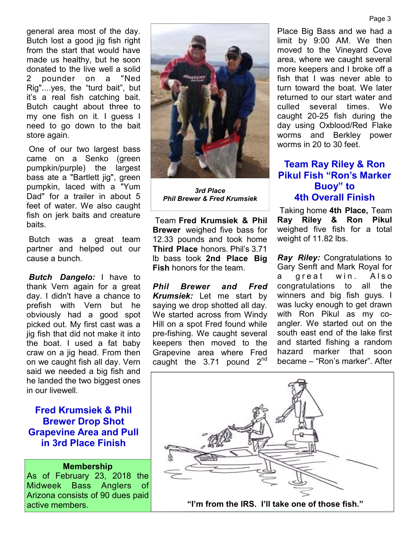general area most of the day. Butch lost a good jig fish right from the start that would have made us healthy, but he soon donated to the live well a solid 2 pounder on a "Ned Rig"....yes, the "turd bait", but it's a real fish catching bait. Butch caught about three to my one fish on it. I guess I need to go down to the bait store again.

 One of our two largest bass came on a Senko (green pumpkin/purple) the largest bass ate a "Bartlett jig", green pumpkin, laced with a "Yum Dad" for a trailer in about 5 feet of water. We also caught fish on jerk baits and creature baits.

 Butch was a great team partner and helped out our cause a bunch.

*Butch Dangelo:* I have to thank Vern again for a great day. I didn't have a chance to prefish with Vern but he obviously had a good spot picked out. My first cast was a jig fish that did not make it into the boat. I used a fat baby craw on a jig head. From then on we caught fish all day. Vern said we needed a big fish and he landed the two biggest ones in our livewell.

### **Fred Krumsiek & Phil Brewer Drop Shot Grapevine Area and Pull in 3rd Place Finish**

#### **Membership**

As of February 23, 2018 the Midweek Bass Anglers of Arizona consists of 90 dues paid



*3rd Place Phil Brewer & Fred Krumsiek* 

 Team **Fred Krumsiek & Phil Brewer** weighed five bass for 12.33 pounds and took home **Third Place** honors. Phil's 3.71 lb bass took **2nd Place Big Fish** honors for the team.

*Phil Brewer and Fred Krumsiek:* Let me start by saying we drop shotted all day. We started across from Windy Hill on a spot Fred found while pre-fishing. We caught several keepers then moved to the Grapevine area where Fred caught the  $3.71$  pound  $2<sup>nd</sup>$ 

Place Big Bass and we had a limit by 9:00 AM. We then moved to the Vineyard Cove area, where we caught several more keepers and I broke off a fish that I was never able to turn toward the boat. We later returned to our start water and culled several times. We caught 20-25 fish during the day using Oxblood/Red Flake worms and Berkley power worms in 20 to 30 feet.

## **Team Ray Riley & Ron Pikul Fish "Ron's Marker Buoy" to 4th Overall Finish**

 Taking home **4th Place,** Team **Ray Riley & Ron Pikul**  weighed five fish for a total weight of 11.82 lbs.

*Ray Riley:* Congratulations to Gary Senft and Mark Royal for a great win. Also congratulations to all the winners and big fish guys. I was lucky enough to get drawn with Ron Pikul as my coangler. We started out on the south east end of the lake first and started fishing a random hazard marker that soon became – "Ron's marker". After

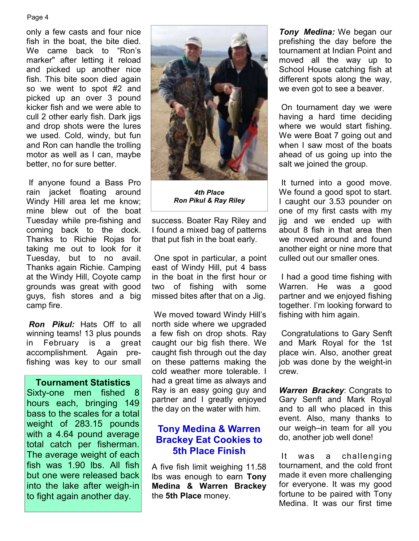#### Page 4

only a few casts and four nice fish in the boat, the bite died. We came back to "Ron's marker" after letting it reload and picked up another nice fish. This bite soon died again so we went to spot #2 and picked up an over 3 pound kicker fish and we were able to cull 2 other early fish. Dark jigs and drop shots were the lures we used. Cold, windy, but fun and Ron can handle the trolling motor as well as I can, maybe better, no for sure better.

 If anyone found a Bass Pro rain jacket floating around Windy Hill area let me know; mine blew out of the boat Tuesday while pre-fishing and coming back to the dock. Thanks to Richie Rojas for taking me out to look for it Tuesday, but to no avail. Thanks again Richie. Camping at the Windy Hill, Coyote camp grounds was great with good guys, fish stores and a big camp fire.

*Ron Pikul:* Hats Off to all winning teams! 13 plus pounds in February is a great accomplishment. Again prefishing was key to our small

### **Tournament Statistics**

Sixty-one men fished 8 hours each, bringing 149 bass to the scales for a total weight of 283.15 pounds with a 4.64 pound average total catch per fisherman. The average weight of each fish was 1.90 lbs. All fish but one were released back into the lake after weigh-in to fight again another day.



*4th Place Ron Pikul & Ray Riley* 

success. Boater Ray Riley and I found a mixed bag of patterns that put fish in the boat early.

 One spot in particular, a point east of Windy Hill, put 4 bass in the boat in the first hour or two of fishing with some missed bites after that on a Jig.

 We moved toward Windy Hill's north side where we upgraded a few fish on drop shots. Ray caught our big fish there. We caught fish through out the day on these patterns making the cold weather more tolerable. I had a great time as always and Ray is an easy going guy and partner and I greatly enjoyed the day on the water with him.

### **Tony Medina & Warren Brackey Eat Cookies to 5th Place Finish**

A five fish limit weighing 11.58 lbs was enough to earn **Tony Medina & Warren Brackey**  the **5th Place** money.

*Tony Medina:* We began our prefishing the day before the tournament at Indian Point and moved all the way up to School House catching fish at different spots along the way, we even got to see a beaver.

 On tournament day we were having a hard time deciding where we would start fishing. We were Boat 7 going out and when I saw most of the boats ahead of us going up into the salt we joined the group.

 It turned into a good move. We found a good spot to start. I caught our 3.53 pounder on one of my first casts with my jig and we ended up with about 8 fish in that area then we moved around and found another eight or nine more that culled out our smaller ones.

 I had a good time fishing with Warren. He was a good partner and we enjoyed fishing together. I'm looking forward to fishing with him again.

 Congratulations to Gary Senft and Mark Royal for the 1st place win. Also, another great job was done by the weight-in crew.

*Warren Brackey*: Congrats to Gary Senft and Mark Royal and to all who placed in this event. Also, many thanks to our weigh–in team for all you do, another job well done!

 It was a challenging tournament, and the cold front made it even more challenging for everyone. It was my good fortune to be paired with Tony Medina. It was our first time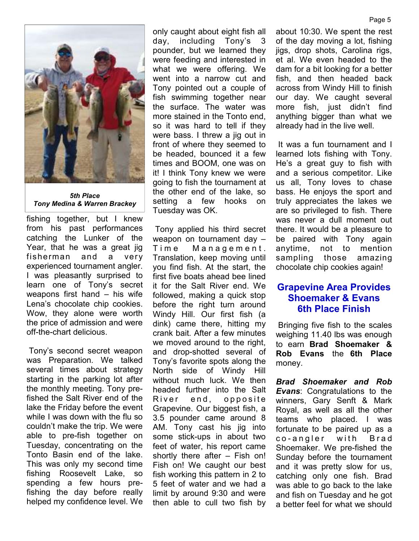

*5th Place Tony Medina & Warren Brackey* 

fishing together, but I knew from his past performances catching the Lunker of the Year, that he was a great jig fisherman and a very experienced tournament angler. I was pleasantly surprised to learn one of Tony's secret weapons first hand – his wife Lena's chocolate chip cookies. Wow, they alone were worth the price of admission and were off-the-chart delicious.

 Tony's second secret weapon was Preparation. We talked several times about strategy starting in the parking lot after the monthly meeting. Tony prefished the Salt River end of the lake the Friday before the event while I was down with the flu so couldn't make the trip. We were able to pre-fish together on Tuesday, concentrating on the Tonto Basin end of the lake. This was only my second time fishing Roosevelt Lake, so spending a few hours prefishing the day before really helped my confidence level. We

only caught about eight fish all day, including Tony's 3 pounder, but we learned they were feeding and interested in what we were offering. We went into a narrow cut and Tony pointed out a couple of fish swimming together near the surface. The water was more stained in the Tonto end, so it was hard to tell if they were bass. I threw a jig out in front of where they seemed to be headed, bounced it a few times and BOOM, one was on it! I think Tony knew we were going to fish the tournament at the other end of the lake, so setting a few hooks on Tuesday was OK.

 Tony applied his third secret weapon on tournament day – Time Management. Translation, keep moving until you find fish. At the start, the first five boats ahead bee lined it for the Salt River end. We followed, making a quick stop before the right turn around Windy Hill. Our first fish (a dink) came there, hitting my crank bait. After a few minutes we moved around to the right. and drop-shotted several of Tony's favorite spots along the North side of Windy Hill without much luck. We then headed further into the Salt River end, opposite Grapevine. Our biggest fish, a 3.5 pounder came around 8 AM. Tony cast his jig into some stick-ups in about two feet of water, his report came shortly there after – Fish on! Fish on! We caught our best fish working this pattern in 2 to 5 feet of water and we had a limit by around 9:30 and were then able to cull two fish by

about 10:30. We spent the rest of the day moving a lot, fishing jigs, drop shots, Carolina rigs, et al. We even headed to the dam for a bit looking for a better fish, and then headed back across from Windy Hill to finish our day. We caught several more fish, just didn't find anything bigger than what we already had in the live well.

 It was a fun tournament and I learned lots fishing with Tony. He's a great guy to fish with and a serious competitor. Like us all, Tony loves to chase bass. He enjoys the sport and truly appreciates the lakes we are so privileged to fish. There was never a dull moment out there. It would be a pleasure to be paired with Tony again anytime, not to mention sampling those amazing chocolate chip cookies again!

### **Grapevine Area Provides Shoemaker & Evans 6th Place Finish**

 Bringing five fish to the scales weighing 11.40 lbs was enough to earn **Brad Shoemaker & Rob Evans** the **6th Place**  money.

*Brad Shoemaker and Rob Evans*: Congratulations to the winners, Gary Senft & Mark Royal, as well as all the other teams who placed. I was fortunate to be paired up as a co-angler with Brad Shoemaker. We pre-fished the Sunday before the tournament and it was pretty slow for us, catching only one fish. Brad was able to go back to the lake and fish on Tuesday and he got a better feel for what we should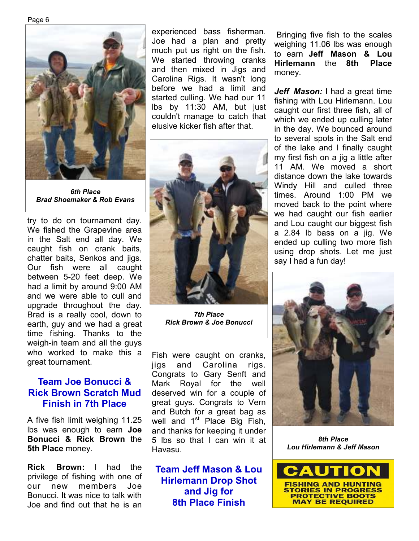Page 6



*6th Place Brad Shoemaker & Rob Evans*

try to do on tournament day. We fished the Grapevine area in the Salt end all day. We caught fish on crank baits, chatter baits, Senkos and jigs. Our fish were all caught between 5-20 feet deep. We had a limit by around 9:00 AM and we were able to cull and upgrade throughout the day. Brad is a really cool, down to earth, guy and we had a great time fishing. Thanks to the weigh-in team and all the guys who worked to make this a great tournament.

### **Team Joe Bonucci & Rick Brown Scratch Mud Finish in 7th Place**

A five fish limit weighing 11.25 lbs was enough to earn **Joe Bonucci & Rick Brown** the **5th Place** money.

**Rick Brown:** I had the privilege of fishing with one of our new members Joe Bonucci. It was nice to talk with Joe and find out that he is an

experienced bass fisherman. Joe had a plan and pretty much put us right on the fish. We started throwing cranks and then mixed in Jigs and Carolina Rigs. It wasn't long before we had a limit and started culling. We had our 11 lbs by 11:30 AM, but just couldn't manage to catch that elusive kicker fish after that.



*7th Place Rick Brown & Joe Bonucci* 

Fish were caught on cranks, jigs and Carolina rigs. Congrats to Gary Senft and Mark Royal for the well deserved win for a couple of great guys. Congrats to Vern and Butch for a great bag as well and  $1<sup>st</sup>$  Place Big Fish, and thanks for keeping it under 5 lbs so that I can win it at Havasu.

**Team Jeff Mason & Lou Hirlemann Drop Shot and Jig for 8th Place Finish**

 Bringing five fish to the scales weighing 11.06 lbs was enough to earn **Jeff Mason & Lou Hirlemann** the **8th Place**  money.

*Jeff Mason:* I had a great time fishing with Lou Hirlemann. Lou caught our first three fish, all of which we ended up culling later in the day. We bounced around to several spots in the Salt end of the lake and I finally caught my first fish on a jig a little after 11 AM. We moved a short distance down the lake towards Windy Hill and culled three times. Around 1:00 PM we moved back to the point where we had caught our fish earlier and Lou caught our biggest fish a 2.84 lb bass on a jig. We ended up culling two more fish using drop shots. Let me just say I had a fun day!



*8th Place Lou Hirlemann & Jeff Mason* 

![](_page_5_Picture_16.jpeg)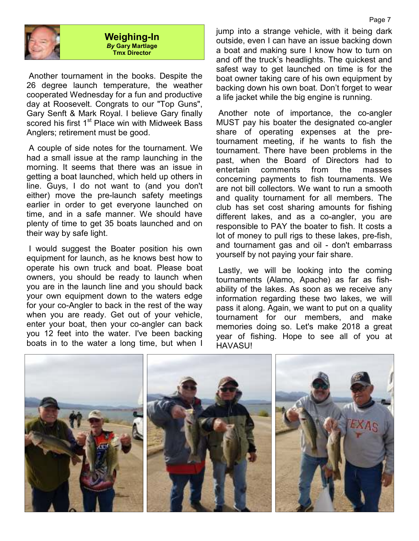![](_page_6_Picture_0.jpeg)

#### **Weighing-In**  *By* **Gary Martlage Tmx Director**

 Another tournament in the books. Despite the 26 degree launch temperature, the weather cooperated Wednesday for a fun and productive day at Roosevelt. Congrats to our "Top Guns", Gary Senft & Mark Royal. I believe Gary finally scored his first 1<sup>st</sup> Place win with Midweek Bass Anglers; retirement must be good.

 A couple of side notes for the tournament. We had a small issue at the ramp launching in the morning. It seems that there was an issue in getting a boat launched, which held up others in line. Guys, I do not want to (and you don't either) move the pre-launch safety meetings earlier in order to get everyone launched on time, and in a safe manner. We should have plenty of time to get 35 boats launched and on their way by safe light.

 I would suggest the Boater position his own equipment for launch, as he knows best how to operate his own truck and boat. Please boat owners, you should be ready to launch when you are in the launch line and you should back your own equipment down to the waters edge for your co-Angler to back in the rest of the way when you are ready. Get out of your vehicle, enter your boat, then your co-angler can back you 12 feet into the water. I've been backing boats in to the water a long time, but when I

jump into a strange vehicle, with it being dark outside, even I can have an issue backing down a boat and making sure I know how to turn on and off the truck's headlights. The quickest and safest way to get launched on time is for the boat owner taking care of his own equipment by backing down his own boat. Don't forget to wear a life jacket while the big engine is running.

 Another note of importance, the co-angler MUST pay his boater the designated co-angler share of operating expenses at the pretournament meeting, if he wants to fish the tournament. There have been problems in the past, when the Board of Directors had to entertain comments from the masses concerning payments to fish tournaments. We are not bill collectors. We want to run a smooth and quality tournament for all members. The club has set cost sharing amounts for fishing different lakes, and as a co-angler, you are responsible to PAY the boater to fish. It costs a lot of money to pull rigs to these lakes, pre-fish, and tournament gas and oil - don't embarrass yourself by not paying your fair share.

 Lastly, we will be looking into the coming tournaments (Alamo, Apache) as far as fishability of the lakes. As soon as we receive any information regarding these two lakes, we will pass it along. Again, we want to put on a quality tournament for our members, and make memories doing so. Let's make 2018 a great year of fishing. Hope to see all of you at HAVASU!

![](_page_6_Picture_8.jpeg)